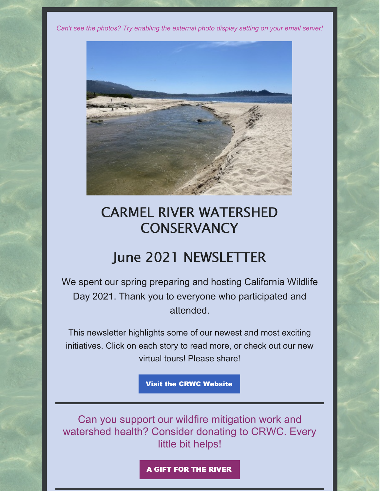*Can't see the photos? Try enabling the external photo display setting on your email server!*



# CARMEL RIVER WATERSHED **CONSERVANCY**

## June 2021 NEWSLETTER

We spent our spring preparing and hosting California Wildlife Day 2021. Thank you to everyone who participated and attended.

This newsletter highlights some of our newest and most exciting initiatives. Click on each story to read more, or check out our new virtual tours! Please share!

Visit the CRWC [Website](https://www.carmelriverwatershed.org/)

Can you support our wildfire mitigation work and watershed health? Consider donating to CRWC. Every little bit helps!

A GIFT FOR THE [RIVER](https://www.carmelriverwatershed.org/gift-for-the-river.html)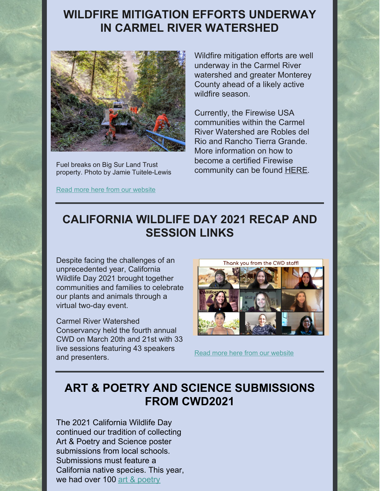#### **WILDFIRE MITIGATION EFFORTS UNDERWAY IN CARMEL RIVER [WATERSHED](https://www.carmelriverwatershed.org/latest-news/wildfire-mitigation-efforts-underway-in-carmel-river-watershed)**



Fuel breaks on Big Sur Land Trust property. Photo by Jamie Tuitele-Lewis

Read more here from our [website](https://www.carmelriverwatershed.org/latest-news/wildfire-mitigation-efforts-underway-in-carmel-river-watershed)

Wildfire mitigation efforts are well underway in the Carmel River watershed and greater Monterey County ahead of a likely active wildfire season.

Currently, the Firewise USA communities within the Carmel River Watershed are Robles del Rio and Rancho Tierra Grande. More information on how to become a certified Firewise community can be found **[HERE](https://www.nfpa.org/Public-Education/Fire-causes-and-risks/Wildfire/Firewise-USA/Become-a-Firewise-USA-site)**.

## **[CALIFORNIA](https://www.carmelriverwatershed.org/latest-news/california-wildlife-day-2021-recap) WILDLIFE DAY 2021 RECAP AND SESSION LINKS**

Despite facing the challenges of an unprecedented year, California Wildlife Day 2021 brought together communities and families to celebrate our plants and animals through a virtual two-day event.

Carmel River Watershed Conservancy held the fourth annual CWD on March 20th and 21st with 33 live sessions featuring 43 speakers and presenters.



Read more here from our [website](https://www.carmelriverwatershed.org/latest-news/california-wildlife-day-2021-recap)

## **ART & POETRY AND SCIENCE [SUBMISSIONS](https://www.carmelriverwatershed.org/latest-news/art-poetry-and-science-submissions-from-cwd2021) FROM CWD2021**

The 2021 California Wildlife Day continued our tradition of collecting Art & Poetry and Science poster submissions from local schools. Submissions must feature a California native species. This year, we had over 100 art & [poetry](https://www.carmelriverwatershed.org/art--poetry-submissions.html)